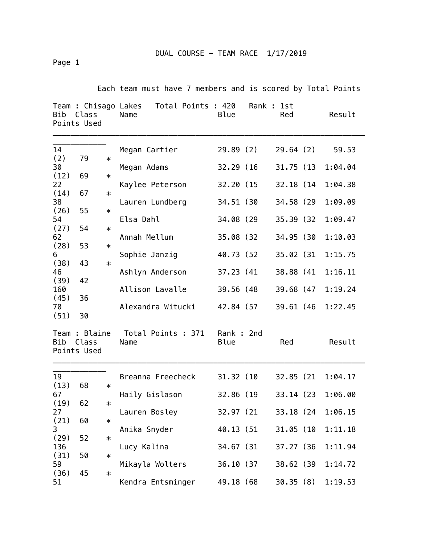Page 1

Each team must have 7 members and is scored by Total Points

| Team : Chisago Lakes<br>Bib<br>Class<br>Points Used |                                       |        | Total Points : 420<br>Name | Blue              | Rank : | 1st<br>Red | Result  |
|-----------------------------------------------------|---------------------------------------|--------|----------------------------|-------------------|--------|------------|---------|
| 14<br>(2)                                           | 79                                    |        | Megan Cartier              | 29.89(2)          |        | 29.64(2)   | 59.53   |
| 30                                                  |                                       | $\ast$ | Megan Adams                | 32.29 (16)        |        | 31.75 (13  | 1:04.04 |
| (12)<br>22                                          | 69                                    | $\ast$ | Kaylee Peterson            | 32.20 (15         |        | 32.18 (14) | 1:04.38 |
| (14)                                                | 67                                    | $\ast$ |                            |                   |        |            |         |
| 38<br>(26)                                          | 55                                    | $\ast$ | Lauren Lundberg            | 34.51 (30         |        | 34.58 (29) | 1:09.09 |
| 54<br>(27)                                          | 54                                    | $\ast$ | Elsa Dahl                  | 34.08 (29)        |        | 35.39 (32) | 1:09.47 |
| 62                                                  |                                       |        | Annah Mellum               | 35.08 (32)        |        | 34.95 (30  | 1:10.03 |
| (28)<br>6                                           | 53                                    | $\ast$ | Sophie Janzig              | 40.73 (52)        |        | 35.02 (31  | 1:15.75 |
| (38)                                                | 43                                    | $\ast$ |                            |                   |        |            |         |
| 46<br>(39)                                          | 42<br>36                              |        | Ashlyn Anderson            | 37.23 (41)        |        | 38.88 (41  | 1:16.11 |
| 160                                                 |                                       |        | Allison Lavalle            | 39.56 (48)        |        | 39.68 (47  | 1:19.24 |
| (45)<br>70                                          |                                       |        | Alexandra Witucki          | 42.84 (57         |        | 39.61 (46  | 1:22.45 |
| (51)                                                | 30                                    |        |                            |                   |        |            |         |
| Bib                                                 | Team : Blaine<br>Class<br>Points Used |        | Total Points : 371<br>Name | Rank: 2nd<br>Blue |        | Red        | Result  |
| 19                                                  |                                       |        | Breanna Freecheck          | 31.32 (10         |        | 32.85 (21  | 1:04.17 |
| (13)<br>67                                          | 68                                    | $\ast$ | Haily Gislason             | 32.86 (19         |        | 33.14 (23) | 1:06.00 |
| (19)                                                | 62                                    | $\ast$ |                            |                   |        |            |         |
| 27<br>(21)                                          | 60                                    | $\ast$ | Lauren Bosley              | 32.97 (21         |        | 33.18 (24  | 1:06.15 |
| $\mathbf{3}$                                        |                                       |        | Anika Snyder               | 40.13 (51         |        | 31.05 (10  | 1:11.18 |
| (29)<br>136                                         | 52                                    | $\ast$ | Lucy Kalina                | 34.67 (31)        |        | 37.27 (36  | 1:11.94 |
| (31)<br>59                                          | 50                                    | $\ast$ | Mikayla Wolters            | 36.10 (37         |        | 38.62 (39  | 1:14.72 |
| (36)                                                | 45                                    | $\ast$ |                            |                   |        |            |         |
| 51                                                  |                                       |        | Kendra Entsminger          | 49.18 (68         |        | 30.35(8)   | 1:19.53 |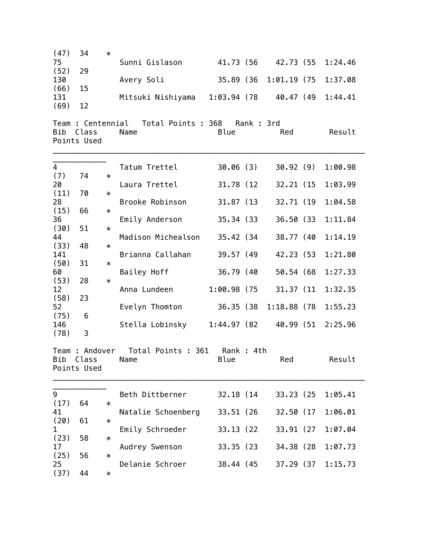| (47)        | 34                         | $\ast$ |                            |                |           |                |         |  |
|-------------|----------------------------|--------|----------------------------|----------------|-----------|----------------|---------|--|
| 75          |                            |        | Sunni Gislason             | 41.73 (56      |           | 42.73 (55      | 1:24.46 |  |
| (52)        | 29                         |        |                            |                |           |                |         |  |
| 130<br>(66) | 15                         |        | Avery Soli                 | 35.89 (36)     |           | $1:01.19$ (75  | 1:37.08 |  |
| 131         |                            |        | Mitsuki Nishiyama          | $1:03.94$ (78) |           | 40.47 (49      | 1:44.41 |  |
| (69)        | 12                         |        |                            |                |           |                |         |  |
|             |                            |        |                            |                |           |                |         |  |
| Bib         | Team : Centennial<br>Class |        | Total Points : 368<br>Name | Blue           | Rank: 3rd | Red            | Result  |  |
|             | Points Used                |        |                            |                |           |                |         |  |
|             |                            |        |                            |                |           |                |         |  |
| 4           |                            |        | Tatum Trettel              | 30.06(3)       |           | 30.92(9)       | 1:00.98 |  |
| (7)         | 74                         | $\ast$ |                            |                |           |                |         |  |
| 20          |                            |        | Laura Trettel              | 31.78 (12)     |           | 32.21 (15      | 1:03.99 |  |
| (11)        | 70                         | $\ast$ |                            |                |           |                |         |  |
| 28<br>(15)  | 66                         | $\ast$ | Brooke Robinson            | 31.87 (13)     |           | 32.71 (19      | 1:04.58 |  |
| 36          |                            |        | Emily Anderson             | 35.34 (33)     |           | 36.50 (33      | 1:11.84 |  |
| (30)        | 51                         | $\ast$ |                            |                |           |                |         |  |
| 44          |                            |        | Madison Michealson         | 35.42 (34)     |           | 38.77 (40      | 1:14.19 |  |
| (33)<br>141 | 48                         | $\ast$ | Brianna Callahan           | 39.57 (49      |           | 42.23 (53)     | 1:21.80 |  |
| (50)        | 31                         | $\ast$ |                            |                |           |                |         |  |
| 60          |                            |        | Bailey Hoff                | 36.79 (40      |           | 50.54 (68)     | 1:27.33 |  |
| (53)        | 28                         | $\ast$ |                            |                |           |                |         |  |
| 12<br>(58)  | 23                         |        | Anna Lundeen               | $1:00.98$ (75) |           | 31.37 (11)     | 1:32.35 |  |
| 52          |                            |        | Evelyn Thomton             | 36.35 (38)     |           | $1:18.88$ (78) | 1:55.23 |  |
| (75)        | 6                          |        |                            |                |           |                |         |  |
| 146<br>(78) | 3                          |        | Stella Lobinsky            | 1:44.97(82)    |           | 40.99 (51      | 2:25.96 |  |
|             |                            |        |                            |                |           |                |         |  |
|             | Team : Andover             |        | Total Points : 361         | Rank : 4th     |           |                |         |  |
|             | Bib Class                  |        | Name                       | Blue           |           | Red            | Result  |  |
|             | Points Used                |        |                            |                |           |                |         |  |
|             |                            |        |                            |                |           |                |         |  |
| 9           |                            |        | Beth Dittberner            | 32.18 (14)     |           | 33.23 (25)     | 1:05.41 |  |
| (17)<br>41  | 64                         | $\ast$ | Natalie Schoenberg         | 33.51 (26)     |           | 32.50 (17      | 1:06.01 |  |
| (20)        | 61                         | $\ast$ |                            |                |           |                |         |  |
| 1           |                            |        | Emily Schroeder            | 33.13 (22)     |           | 33.91 (27)     | 1:07.04 |  |
| (23)        | 58                         | $\ast$ |                            |                |           |                |         |  |
| 17<br>(25)  | 56                         | $\ast$ | Audrey Swenson             | 33.35 (23)     |           | 34.38 (28)     | 1:07.73 |  |
| 25          |                            |        | Delanie Schroer            | 38.44 (45      |           | 37.29 (37      | 1:15.73 |  |
| (37)        | 44                         | $\ast$ |                            |                |           |                |         |  |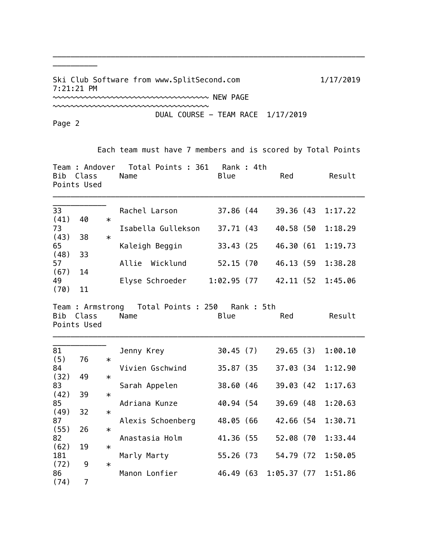Ski Club Software from www.SplitSecond.com 1/17/2019 7:21:21 PM ~~~~~~~~~~~~~~~~~~~~~~~~~~~~~~~~~~~ NEW PAGE

~~~~~~~~~~~~~~~~~~~~~~~~~~~~~~~~~~~

\_\_\_\_\_\_\_\_\_\_\_\_\_\_\_\_\_\_\_\_\_\_\_\_\_\_\_\_\_\_\_\_\_\_\_\_\_\_\_\_\_\_\_\_\_\_\_\_\_\_\_\_\_\_\_\_\_\_\_\_\_\_\_\_\_\_\_\_\_\_

DUAL COURSE - TEAM RACE 1/17/2019

Page 2

\_\_\_\_\_\_\_\_\_\_

Each team must have 7 members and is scored by Total Points

| Bib                | Class<br>Points Used |        | Team : Andover  Total Points : 361<br>Name          | Rank : 4th<br>Blue | Red         | Result  |
|--------------------|----------------------|--------|-----------------------------------------------------|--------------------|-------------|---------|
| 33<br>(41)         | 40                   | $\ast$ | Rachel Larson                                       | 37.86 (44          | 39.36 (43   | 1:17.22 |
| 73                 |                      |        | Isabella Gullekson                                  | 37.71 (43          | 40.58 (50   | 1:18.29 |
| (43)<br>65         | 38                   | $\ast$ | Kaleigh Beggin                                      | 33.43 (25)         | 46.30 (61   | 1:19.73 |
| (48)<br>57<br>(67) | 33<br>14             |        | Allie Wicklund                                      | 52.15 (70          | 46.13 (59   | 1:38.28 |
| 49<br>(70)         | 11                   |        | Elyse Schroeder                                     | 1:02.95 (77        | 42.11 (52   | 1:45.06 |
| Bib                | Class<br>Points Used |        | Team: Armstrong Total Points: 250 Rank: 5th<br>Name | Blue               | Red         | Result  |
| 81<br>(5)          | 76                   | $\ast$ | Jenny Krey                                          | 30.45(7)           | 29.65(3)    | 1:00.10 |
| 84                 |                      |        | Vivien Gschwind                                     | 35.87 (35          | 37.03 (34   | 1:12.90 |
| (32)<br>83         | 49                   | $\ast$ | Sarah Appelen                                       | 38.60 (46          | 39.03 (42)  | 1:17.63 |
| (42)<br>85         | 39                   | $\ast$ | Adriana Kunze                                       | 40.94 (54          | 39.69 (48   | 1:20.63 |
| (49)<br>87         | 32                   | $\ast$ | Alexis Schoenberg                                   | 48.05 (66          | 42.66 (54   | 1:30.71 |
| (55)<br>82         | 26                   | $\ast$ | Anastasia Holm                                      | 41.36 (55          | 52.08 (70   | 1:33.44 |
| (62)<br>181        | 19                   | $\ast$ | Marly Marty                                         | 55.26 (73          | 54.79 (72   | 1:50.05 |
| (72)<br>86         | 9                    | $\ast$ | Manon Lonfier                                       | 46.49 (63          | 1:05.37(77) | 1:51.86 |
| (74)               | $\overline{7}$       |        |                                                     |                    |             |         |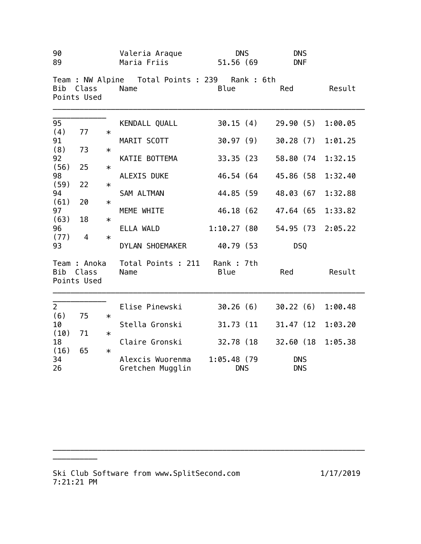| 90<br>89       |                                      |        | Valeria Araque<br>Maria Friis                            | <b>DNS</b><br>51.56 (69     | <b>DNS</b><br><b>DNF</b> |         |
|----------------|--------------------------------------|--------|----------------------------------------------------------|-----------------------------|--------------------------|---------|
|                | Bib Class<br>Points Used             |        | Team : NW Alpine  Total Points : 239  Rank : 6th<br>Name | <b>Blue</b>                 | Red                      | Result  |
| 95             |                                      |        | KENDALL QUALL                                            | 30.15(4)                    | 29.90(5)                 | 1:00.05 |
| (4)<br>91      | 77                                   | $\ast$ | MARIT SCOTT                                              | 30.97 (9)                   | 30.28(7)                 | 1:01.25 |
| (8)<br>92      | 73                                   | $\ast$ | KATIE BOTTEMA                                            | 33.35 (23                   | 58.80 (74                |         |
| (56)           | 25                                   | $\ast$ |                                                          |                             |                          | 1:32.15 |
| 98<br>(59)     | 22                                   | $\ast$ | ALEXIS DUKE                                              | 46.54 (64                   | 45.86 (58                | 1:32.40 |
| 94             |                                      |        | SAM ALTMAN                                               | 44.85 (59                   | 48.03 (67                | 1:32.88 |
| (61)<br>97     | 20                                   | $\ast$ | MEME WHITE                                               | 46.18 (62                   | 47.64 (65                | 1:33.82 |
| (63)           | 18                                   | $\ast$ |                                                          |                             |                          |         |
| 96<br>(77)     | $\overline{4}$                       | $\ast$ | ELLA WALD                                                | 1:10.27 (80                 | 54.95 (73 2:05.22        |         |
| 93             |                                      |        | DYLAN SHOEMAKER                                          | 40.79 (53                   | <b>DSQ</b>               |         |
| <b>Bib</b>     | Team : Anoka<br>Class<br>Points Used |        | Total Points : 211 Rank : 7th<br>Name                    | <b>Blue</b>                 | Red                      | Result  |
| $\overline{2}$ |                                      |        | Elise Pinewski                                           | 30.26 (6)                   | 30.22(6)                 | 1:00.48 |
| (6)<br>10      | 75                                   | $\ast$ | Stella Gronski                                           | 31.73 (11                   | 31.47 (12                | 1:03.20 |
| (10)           | 71                                   | $\ast$ |                                                          |                             |                          |         |
| 18<br>(16)     | 65                                   | $\ast$ | Claire Gronski                                           | 32.78 (18                   | 32.60 (18                | 1:05.38 |
| 34<br>26       |                                      |        | Alexcis Wuorenma<br>Gretchen Mugglin                     | $1:05.48$ (79<br><b>DNS</b> | <b>DNS</b><br><b>DNS</b> |         |

\_\_\_\_\_\_\_\_\_\_\_\_\_\_\_\_\_\_\_\_\_\_\_\_\_\_\_\_\_\_\_\_\_\_\_\_\_\_\_\_\_\_\_\_\_\_\_\_\_\_\_\_\_\_\_\_\_\_\_\_\_\_\_\_\_\_\_\_\_\_

\_\_\_\_\_\_\_\_\_\_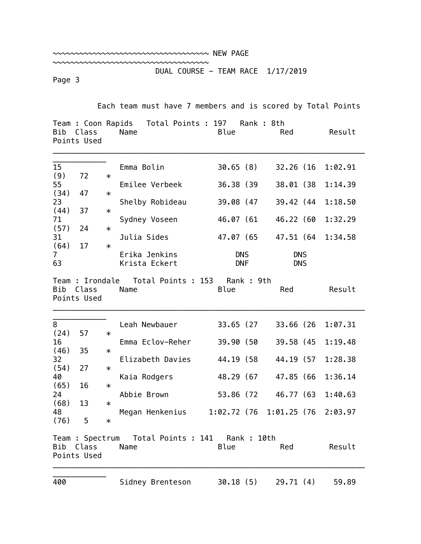| ~~~~~~~~~~~~~~~~~~~~~~~~~~~~~~~~~~~~ NEW PAGE |  |
|-----------------------------------------------|--|
|                                               |  |

DUAL COURSE - TEAM RACE 1/17/2019

Page 3

Each team must have 7 members and is scored by Total Points

| Bib                  | Class<br>Points Used                    |        | Team : Coon Rapids Total Points : 197<br>Name            | Rank: 8th<br><b>Blue</b> | Red                      | Result  |
|----------------------|-----------------------------------------|--------|----------------------------------------------------------|--------------------------|--------------------------|---------|
| 15                   |                                         |        | Emma Bolin                                               | 30.65(8)                 | 32.26 (16                | 1:02.91 |
| (9)<br>55            | 72                                      | $\ast$ | Emilee Verbeek                                           | 36.38 (39)               | 38.01 (38                | 1:14.39 |
| (34)                 | 47                                      | $\ast$ |                                                          |                          |                          |         |
| 23<br>(44)           | 37                                      |        | Shelby Robideau                                          | 39.08 (47                | 39.42 (44                | 1:18.50 |
| 71                   |                                         | $\ast$ | Sydney Voseen                                            | 46.07 (61                | 46.22 (60                | 1:32.29 |
| (57)                 | 24                                      | $\ast$ |                                                          |                          |                          |         |
| 31<br>(64)           | 17                                      | $\ast$ | Julia Sides                                              | 47.07 (65                | 47.51 (64                | 1:34.58 |
| 7 <sup>1</sup><br>63 |                                         |        | Erika Jenkins<br>Krista Eckert                           | <b>DNS</b><br><b>DNF</b> | <b>DNS</b><br><b>DNS</b> |         |
| Bib                  | Team : Irondale<br>Class<br>Points Used |        | Total Points : 153<br>Name                               | Rank: 9th<br>Blue        | Red                      | Result  |
| 8                    |                                         |        | Leah Newbauer                                            | 33.65 (27                | 33.66 (26                | 1:07.31 |
| (24)<br>16           | 57                                      | $\ast$ | Emma Eclov-Reher                                         | 39.90 (50                | 39.58 (45                | 1:19.48 |
| (46)                 | 35                                      | $\ast$ |                                                          |                          |                          |         |
| 32<br>(54)           | 27                                      | $\ast$ | Elizabeth Davies                                         | 44.19 (58)               | 44.19 (57                | 1:28.38 |
| 40                   |                                         |        | Kaia Rodgers                                             | 48.29 (67                | 47.85 (66                | 1:36.14 |
| (65)<br>24           | 16                                      | $\ast$ | Abbie Brown                                              | 53.86 (72                | 46.77 (63                | 1:40.63 |
| (68)                 | 13                                      | $\ast$ |                                                          |                          |                          |         |
| 48<br>(76)           | 5                                       |        | Megan Henkenius                                          | 1:02.72 (76              | 1:01.25(76)2:03.97       |         |
| Bib                  | Class<br>Points Used                    | $\ast$ | Team : Spectrum  Total Points : 141  Rank : 10th<br>Name | Blue                     | Red                      | Result  |
| 400                  |                                         |        | Sidney Brenteson                                         | 30.18(5)                 | 29.71(4)                 | 59.89   |